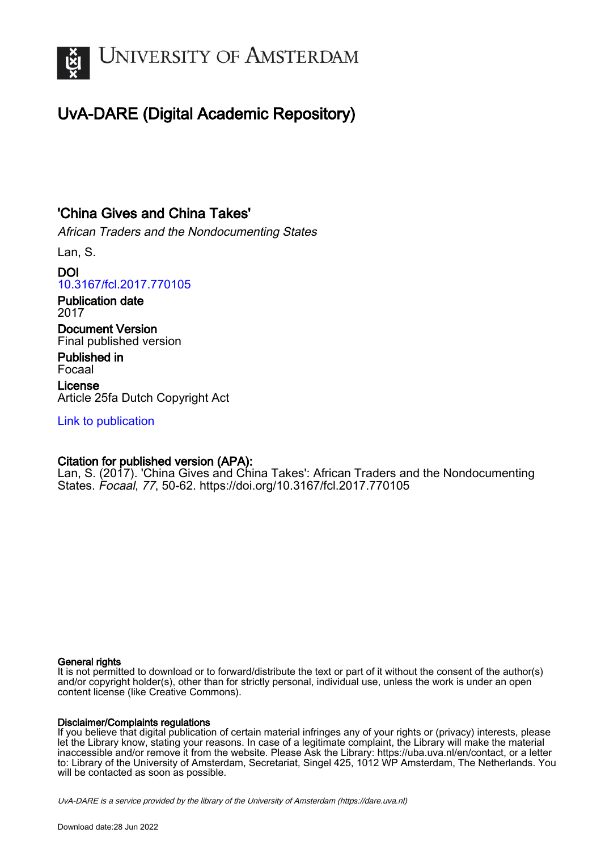

# UvA-DARE (Digital Academic Repository)

## 'China Gives and China Takes'

African Traders and the Nondocumenting States

Lan, S.

## DOI [10.3167/fcl.2017.770105](https://doi.org/10.3167/fcl.2017.770105)

Publication date 2017

Document Version Final published version

Published in Focaal

License Article 25fa Dutch Copyright Act

[Link to publication](https://dare.uva.nl/personal/pure/en/publications/china-gives-and-china-takes(71ff6535-0f5c-4d40-abc9-c1875e8aff0f).html)

## Citation for published version (APA):

Lan, S. (2017). 'China Gives and China Takes': African Traders and the Nondocumenting States. Focaal, 77, 50-62. <https://doi.org/10.3167/fcl.2017.770105>

### General rights

It is not permitted to download or to forward/distribute the text or part of it without the consent of the author(s) and/or copyright holder(s), other than for strictly personal, individual use, unless the work is under an open content license (like Creative Commons).

### Disclaimer/Complaints regulations

If you believe that digital publication of certain material infringes any of your rights or (privacy) interests, please let the Library know, stating your reasons. In case of a legitimate complaint, the Library will make the material inaccessible and/or remove it from the website. Please Ask the Library: https://uba.uva.nl/en/contact, or a letter to: Library of the University of Amsterdam, Secretariat, Singel 425, 1012 WP Amsterdam, The Netherlands. You will be contacted as soon as possible.

UvA-DARE is a service provided by the library of the University of Amsterdam (http*s*://dare.uva.nl)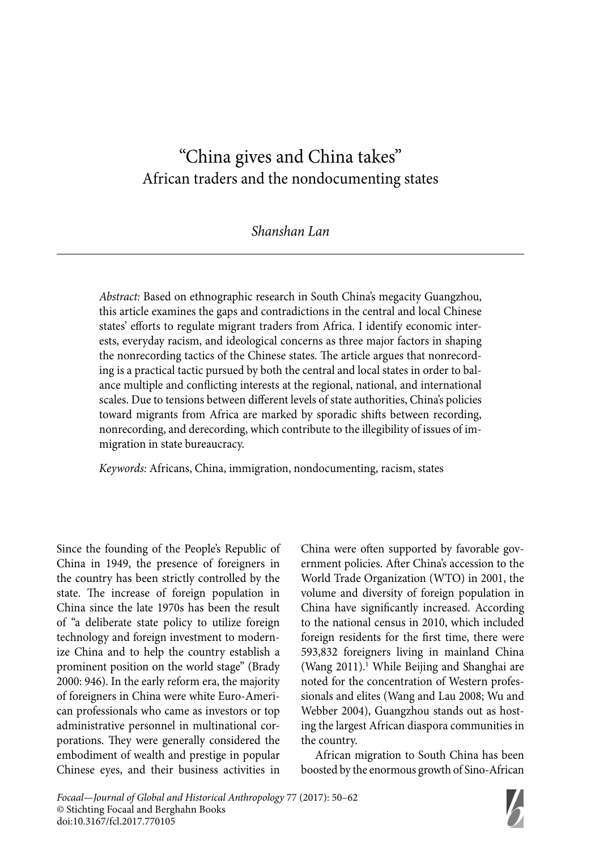## " China gives and China takes" African traders and the nondocumenting states

*Shanshan Lan*

*Abstract:* Based on ethnographic research in South China's megacity Guangzhou, this article examines the gaps and contradictions in the central and local Chinese states' efforts to regulate migrant traders from Africa. I identify economic interests, everyday racism, and ideological concerns as three major factors in shaping the nonrecording tactics of the Chinese states. The article argues that nonrecording is a practical tactic pursued by both the central and local states in order to balance multiple and conflicting interests at the regional, national, and international scales. Due to tensions between different levels of state authorities, China's policies toward migrants from Africa are marked by sporadic shifts between recording, nonrecording, and derecording, which contribute to the illegibility of issues of immigration in state bureaucracy.

*Keywords:* Africans, China, immigration, nondocumenting, racism, states

Since the founding of the People's Republic of China in 1949, the presence of foreigners in the country has been strictly controlled by the state. The increase of foreign population in China since the late 1970s has been the result of "a deliberate state policy to utilize foreign technology and foreign investment to modernize China and to help the country establish a prominent position on the world stage" (Brady 2000: 946). In the early reform era, the majority of foreigners in China were white Euro-American professionals who came as investors or top administrative personnel in multinational corporations. They were generally considered the embodiment of wealth and prestige in popular Chinese eyes, and their business activities in China were often supported by favorable government policies. After China's accession to the World Trade Organization (WTO) in 2001, the volume and diversity of foreign population in China have significantly increased. According to the national census in 2010, which included foreign residents for the first time, there were 593,832 foreigners living in mainland China (Wang 2011).<sup>1</sup> While Beijing and Shanghai are noted for the concentration of Western professionals and elites (Wang and Lau 2008; Wu and Webber 2004), Guangzhou stands out as hosting the largest African diaspora communities in the country.

African migration to South China has been boosted by the enormous growth of Sino-African

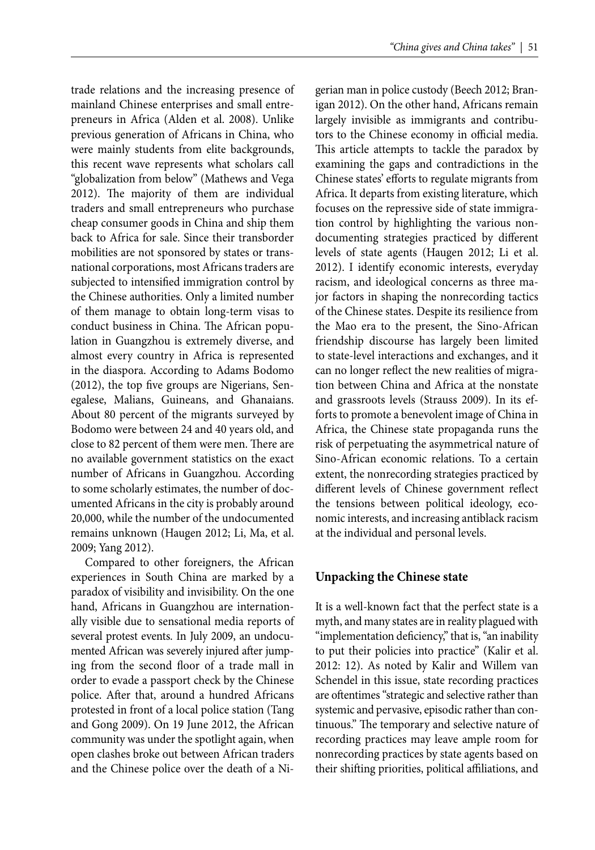trade relations and the increasing presence of mainland Chinese enterprises and small entrepreneurs in Africa (Alden et al. 2008). Unlike previous generation of Africans in China, who were mainly students from elite backgrounds, this recent wave represents what scholars call "globalization from below" (Mathews and Vega 2012). The majority of them are individual traders and small entrepreneurs who purchase cheap consumer goods in China and ship them back to Africa for sale. Since their transborder mobilities are not sponsored by states or transnational corporations, most Africans traders are subjected to intensified immigration control by the Chinese authorities. Only a limited number of them manage to obtain long-term visas to conduct business in China. The African population in Guangzhou is extremely diverse, and almost every country in Africa is represented in the diaspora. According to Adams Bodomo  $(2012)$ , the top five groups are Nigerians, Senegalese, Malians, Guineans, and Ghanaians. About 80 percent of the migrants surveyed by Bodomo were between 24 and 40 years old, and close to 82 percent of them were men. There are no available government statistics on the exact number of Africans in Guangzhou. According to some scholarly estimates, the number of documented Africans in the city is probably around 20,000, while the number of the undocumented remains unknown (Haugen 2012; Li, Ma, et al. 2009; Yang 2012).

Compared to other foreigners, the African experiences in South China are marked by a paradox of visibility and invisibility. On the one hand, Africans in Guangzhou are internationally visible due to sensational media reports of several protest events. In July 2009, an undocumented African was severely injured after jumping from the second floor of a trade mall in order to evade a passport check by the Chinese police. After that, around a hundred Africans protested in front of a local police station (Tang and Gong 2009). On 19 June 2012, the African community was under the spotlight again, when open clashes broke out between African traders and the Chinese police over the death of a Nigerian man in police custody (Beech 2012; Branigan 2012). On the other hand, Africans remain largely invisible as immigrants and contributors to the Chinese economy in official media. This article attempts to tackle the paradox by examining the gaps and contradictions in the Chinese states' efforts to regulate migrants from Africa. It departs from existing literature, which focuses on the repressive side of state immigration control by highlighting the various nondocumenting strategies practiced by different levels of state agents (Haugen 2012; Li et al. 2012). I identify economic interests, everyday racism, and ideological concerns as three major factors in shaping the nonrecording tactics of the Chinese states. Despite its resilience from the Mao era to the present, the Sino-African friendship discourse has largely been limited to state-level interactions and exchanges, and it can no longer reflect the new realities of migration between China and Africa at the nonstate and grassroots levels (Strauss 2009). In its efforts to promote a benevolent image of China in Africa, the Chinese state propaganda runs the risk of perpetuating the asymmetrical nature of Sino-African economic relations. To a certain extent, the nonrecording strategies practiced by different levels of Chinese government reflect the tensions between political ideology, economic interests, and increasing antiblack racism at the individual and personal levels.

#### **Unpacking the Chinese state**

It is a well-known fact that the perfect state is a myth, and many states are in reality plagued with "implementation deficiency," that is, "an inability to put their policies into practice" (Kalir et al. 2012: 12). As noted by Kalir and Willem van Schendel in this issue, state recording practices are oftentimes "strategic and selective rather than systemic and pervasive, episodic rather than continuous." The temporary and selective nature of recording practices may leave ample room for nonrecording practices by state agents based on their shifting priorities, political affiliations, and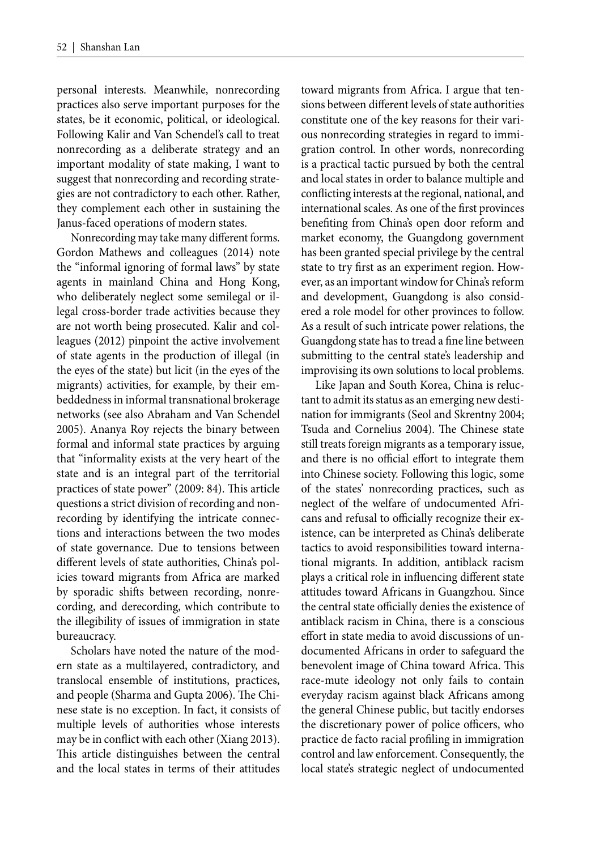personal interests. Meanwhile, nonrecording practices also serve important purposes for the states, be it economic, political, or ideological. Following Kalir and Van Schendel's call to treat nonrecording as a deliberate strategy and an important modality of state making, I want to suggest that nonrecording and recording strategies are not contradictory to each other. Rather, they complement each other in sustaining the Janus-faced operations of modern states.

Nonrecording may take many different forms. Gordon Mathews and colleagues (2014) note the "informal ignoring of formal laws" by state agents in mainland China and Hong Kong, who deliberately neglect some semilegal or illegal cross-border trade activities because they are not worth being prosecuted. Kalir and colleagues (2012) pinpoint the active involvement of state agents in the production of illegal (in the eyes of the state) but licit (in the eyes of the migrants) activities, for example, by their embeddedness in informal transnational brokerage networks (see also Abraham and Van Schendel 2005). Ananya Roy rejects the binary between formal and informal state practices by arguing that "informality exists at the very heart of the state and is an integral part of the territorial practices of state power" (2009: 84). This article questions a strict division of recording and nonrecording by identifying the intricate connections and interactions between the two modes of state governance. Due to tensions between different levels of state authorities, China's policies toward migrants from Africa are marked by sporadic shifts between recording, nonrecording, and derecording, which contribute to the illegibility of issues of immigration in state bureaucracy.

Scholars have noted the nature of the modern state as a multilayered, contradictory, and translocal ensemble of institutions, practices, and people (Sharma and Gupta 2006). The Chinese state is no exception. In fact, it consists of multiple levels of authorities whose interests may be in conflict with each other (Xiang 2013). This article distinguishes between the central and the local states in terms of their attitudes

toward migrants from Africa. I argue that tensions between different levels of state authorities constitute one of the key reasons for their various nonrecording strategies in regard to immigration control. In other words, nonrecording is a practical tactic pursued by both the central and local states in order to balance multiple and conflicting interests at the regional, national, and international scales. As one of the first provinces benefiting from China's open door reform and market economy, the Guangdong government has been granted special privilege by the central state to try first as an experiment region. However, as an important window for China's reform and development, Guangdong is also considered a role model for other provinces to follow. As a result of such intricate power relations, the Guangdong state has to tread a fine line between submitting to the central state's leadership and improvising its own solutions to local problems.

Like Japan and South Korea, China is reluctant to admit its status as an emerging new destination for immigrants (Seol and Skrentny 2004; Tsuda and Cornelius 2004). The Chinese state still treats foreign migrants as a temporary issue, and there is no official effort to integrate them into Chinese society. Following this logic, some of the states' nonrecording practices, such as neglect of the welfare of undocumented Africans and refusal to officially recognize their existence, can be interpreted as China's deliberate tactics to avoid responsibilities toward international migrants. In addition, antiblack racism plays a critical role in influencing different state attitudes toward Africans in Guangzhou. Since the central state officially denies the existence of antiblack racism in China, there is a conscious effort in state media to avoid discussions of undocumented Africans in order to safeguard the benevolent image of China toward Africa. This race-mute ideology not only fails to contain everyday racism against black Africans among the general Chinese public, but tacitly endorses the discretionary power of police officers, who practice de facto racial profiling in immigration control and law enforcement. Consequently, the local state's strategic neglect of undocumented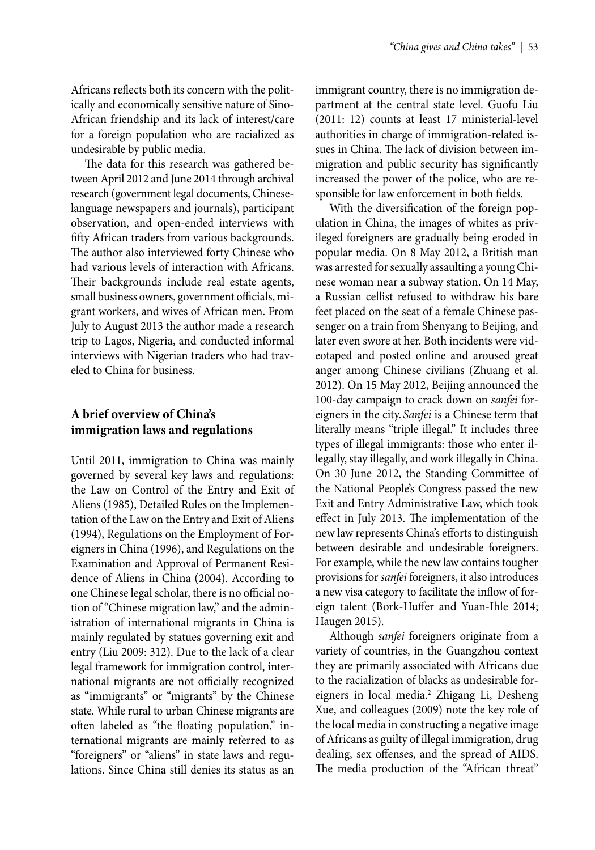Africans reflects both its concern with the politically and economically sensitive nature of Sino-African friendship and its lack of interest/care for a foreign population who are racialized as undesirable by public media.

The data for this research was gathered between April 2012 and June 2014 through archival research (government legal documents, Chineselanguage newspapers and journals), participant observation, and open-ended interviews with fifty African traders from various backgrounds. The author also interviewed forty Chinese who had various levels of interaction with Africans. Their backgrounds include real estate agents, small business owners, government officials, migrant workers, and wives of African men. From July to August 2013 the author made a research trip to Lagos, Nigeria, and conducted informal interviews with Nigerian traders who had traveled to China for business.

## **A brief overview of China's immigration laws and regulations**

Until 2011, immigration to China was mainly governed by several key laws and regulations: the Law on Control of the Entry and Exit of Aliens (1985), Detailed Rules on the Implementation of the Law on the Entry and Exit of Aliens (1994), Regulations on the Employment of Foreigners in China (1996), and Regulations on the Examination and Approval of Permanent Residence of Aliens in China (2004). According to one Chinese legal scholar, there is no official notion of "Chinese migration law," and the administration of international migrants in China is mainly regulated by statues governing exit and entry (Liu 2009: 312). Due to the lack of a clear legal framework for immigration control, international migrants are not officially recognized as "immigrants" or "migrants" by the Chinese state. While rural to urban Chinese migrants are often labeled as "the floating population," international migrants are mainly referred to as "foreigners" or "aliens" in state laws and regulations. Since China still denies its status as an

immigrant country, there is no immigration department at the central state level. Guofu Liu (2011: 12) counts at least 17 ministerial-level authorities in charge of immigration-related issues in China. The lack of division between immigration and public security has significantly increased the power of the police, who are responsible for law enforcement in both fields.

With the diversification of the foreign population in China, the images of whites as privileged foreigners are gradually being eroded in popular media. On 8 May 2012, a British man was arrested for sexually assaulting a young Chinese woman near a subway station. On 14 May, a Russian cellist refused to withdraw his bare feet placed on the seat of a female Chinese passenger on a train from Shenyang to Beijing, and later even swore at her. Both incidents were videotaped and posted online and aroused great anger among Chinese civilians (Zhuang et al. 2012). On 15 May 2012, Beijing announced the 100-day campaign to crack down on *sanfei* foreigners in the city. *Sanfei* is a Chinese term that literally means "triple illegal." It includes three types of illegal immigrants: those who enter illegally, stay illegally, and work illegally in China. On 30 June 2012, the Standing Committee of the National People's Congress passed the new Exit and Entry Administrative Law, which took effect in July 2013. The implementation of the new law represents China's efforts to distinguish between desirable and undesirable foreigners. For example, while the new law contains tougher provisions for *sanfei* foreigners, it also introduces a new visa category to facilitate the inflow of foreign talent (Bork-Huffer and Yuan-Ihle 2014; Haugen 2015).

Although *sanfei* foreigners originate from a variety of countries, in the Guangzhou context they are primarily associated with Africans due to the racialization of blacks as undesirable foreigners in local media.<sup>2</sup> Zhigang Li, Desheng Xue, and colleagues (2009) note the key role of the local media in constructing a negative image of Africans as guilty of illegal immigration, drug dealing, sex offenses, and the spread of AIDS. The media production of the "African threat"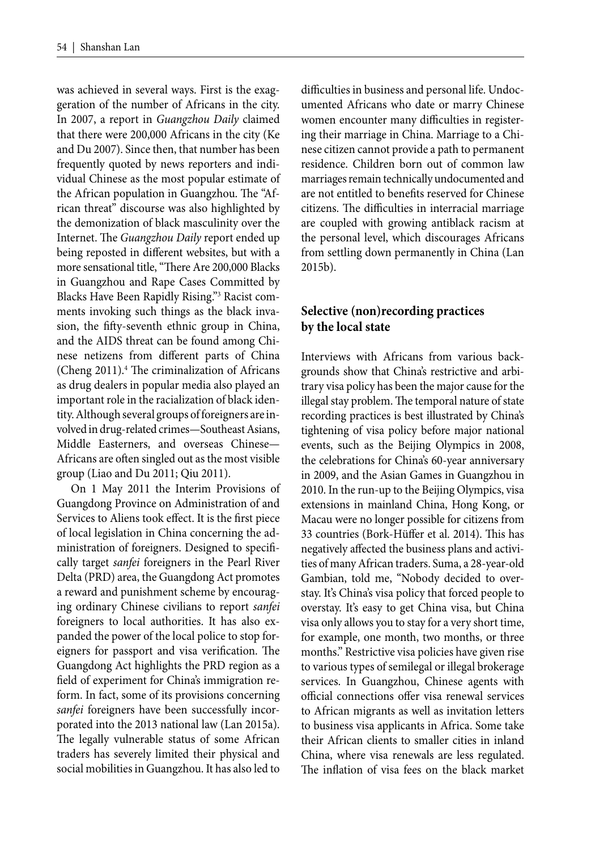was achieved in several ways. First is the exaggeration of the number of Africans in the city. In 2007, a report in *Guangzhou Daily* claimed that there were 200,000 Africans in the city (Ke and Du 2007). Since then, that number has been frequently quoted by news reporters and individual Chinese as the most popular estimate of the African population in Guangzhou. The "African threat" discourse was also highlighted by the demonization of black masculinity over the Internet. The *Guangzhou Daily* report ended up being reposted in different websites, but with a more sensational title, "There Are 200,000 Blacks in Guangzhou and Rape Cases Committed by Blacks Have Been Rapidly Rising."3 Racist comments invoking such things as the black invasion, the fifty-seventh ethnic group in China, and the AIDS threat can be found among Chinese netizens from different parts of China (Cheng 2011).<sup>4</sup> The criminalization of Africans as drug dealers in popular media also played an important role in the racialization of black identity. Although several groups of foreigners are involved in drug-related crimes—Southeast Asians, Middle Easterners, and overseas Chinese— Africans are often singled out as the most visible group (Liao and Du 2011; Qiu 2011).

On 1 May 2011 the Interim Provisions of Guangdong Province on Administration of and Services to Aliens took effect. It is the first piece of local legislation in China concerning the administration of foreigners. Designed to specifically target *sanfei* foreigners in the Pearl River Delta (PRD) area, the Guangdong Act promotes a reward and punishment scheme by encouraging ordinary Chinese civilians to report *sanfei* foreigners to local authorities. It has also expanded the power of the local police to stop foreigners for passport and visa verification. The Guangdong Act highlights the PRD region as a field of experiment for China's immigration reform. In fact, some of its provisions concerning *sanfei* foreigners have been successfully incorporated into the 2013 national law (Lan 2015a). The legally vulnerable status of some African traders has severely limited their physical and social mobilities in Guangzhou. It has also led to

difficulties in business and personal life. Undocumented Africans who date or marry Chinese women encounter many difficulties in registering their marriage in China. Marriage to a Chinese citizen cannot provide a path to permanent residence. Children born out of common law marriages remain technically undocumented and are not entitled to benefits reserved for Chinese citizens. The difficulties in interracial marriage are coupled with growing antiblack racism at the personal level, which discourages Africans from settling down permanently in China (Lan 2015b).

## **Selective (non)recording practices by the local state**

Interviews with Africans from various backgrounds show that China's restrictive and arbitrary visa policy has been the major cause for the illegal stay problem. The temporal nature of state recording practices is best illustrated by China's tightening of visa policy before major national events, such as the Beijing Olympics in 2008, the celebrations for China's 60-year anniversary in 2009, and the Asian Games in Guangzhou in 2010. In the run-up to the Beijing Olympics, visa extensions in mainland China, Hong Kong, or Macau were no longer possible for citizens from 33 countries (Bork-Hüffer et al. 2014). This has negatively affected the business plans and activities of many African traders. Suma, a 28-year-old Gambian, told me, "Nobody decided to overstay. It's China's visa policy that forced people to overstay. It's easy to get China visa, but China visa only allows you to stay for a very short time, for example, one month, two months, or three months." Restrictive visa policies have given rise to various types of semilegal or illegal brokerage services. In Guangzhou, Chinese agents with official connections offer visa renewal services to African migrants as well as invitation letters to business visa applicants in Africa. Some take their African clients to smaller cities in inland China, where visa renewals are less regulated. The inflation of visa fees on the black market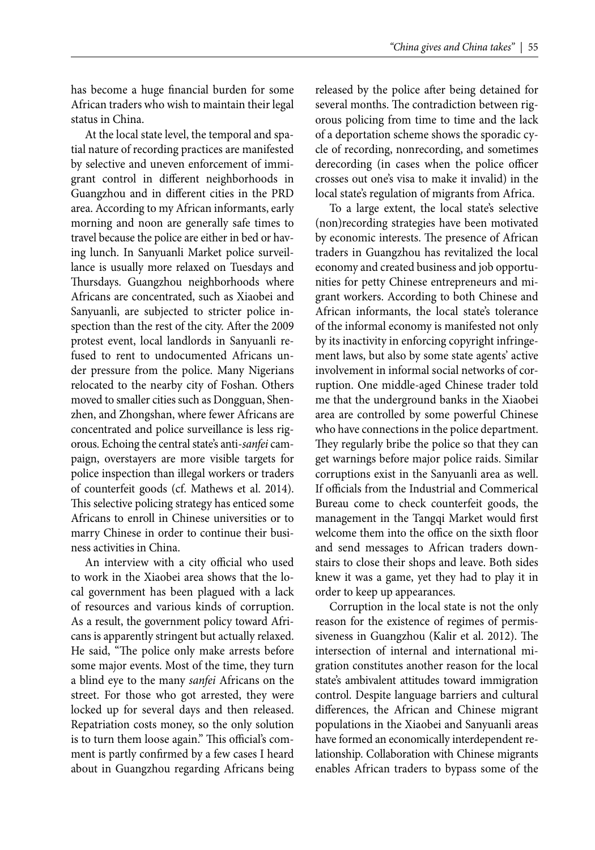has become a huge financial burden for some African traders who wish to maintain their legal status in China.

At the local state level, the temporal and spatial nature of recording practices are manifested by selective and uneven enforcement of immigrant control in different neighborhoods in Guangzhou and in different cities in the PRD area. According to my African informants, early morning and noon are generally safe times to travel because the police are either in bed or having lunch. In Sanyuanli Market police surveillance is usually more relaxed on Tuesdays and Thursdays. Guangzhou neighborhoods where Africans are concentrated, such as Xiaobei and Sanyuanli, are subjected to stricter police inspection than the rest of the city. After the 2009 protest event, local landlords in Sanyuanli refused to rent to undocumented Africans under pressure from the police. Many Nigerians relocated to the nearby city of Foshan. Others moved to smaller cities such as Dongguan, Shenzhen, and Zhongshan, where fewer Africans are concentrated and police surveillance is less rigorous. Echoing the central state's anti-*sanfei* campaign, overstayers are more visible targets for police inspection than illegal workers or traders of counterfeit goods (cf. Mathews et al. 2014). This selective policing strategy has enticed some Africans to enroll in Chinese universities or to marry Chinese in order to continue their business activities in China.

An interview with a city official who used to work in the Xiaobei area shows that the local government has been plagued with a lack of resources and various kinds of corruption. As a result, the government policy toward Africans is apparently stringent but actually relaxed. He said, "The police only make arrests before some major events. Most of the time, they turn a blind eye to the many *sanfei* Africans on the street. For those who got arrested, they were locked up for several days and then released. Repatriation costs money, so the only solution is to turn them loose again." This official's comment is partly confirmed by a few cases I heard about in Guangzhou regarding Africans being released by the police after being detained for several months. The contradiction between rigorous policing from time to time and the lack of a deportation scheme shows the sporadic cycle of recording, nonrecording, and sometimes derecording (in cases when the police officer crosses out one's visa to make it invalid) in the local state's regulation of migrants from Africa.

To a large extent, the local state's selective (non)recording strategies have been motivated by economic interests. The presence of African traders in Guangzhou has revitalized the local economy and created business and job opportunities for petty Chinese entrepreneurs and migrant workers. According to both Chinese and African informants, the local state's tolerance of the informal economy is manifested not only by its inactivity in enforcing copyright infringement laws, but also by some state agents' active involvement in informal social networks of corruption. One middle-aged Chinese trader told me that the underground banks in the Xiaobei area are controlled by some powerful Chinese who have connections in the police department. They regularly bribe the police so that they can get warnings before major police raids. Similar corruptions exist in the Sanyuanli area as well. If officials from the Industrial and Commerical Bureau come to check counterfeit goods, the management in the Tangqi Market would first welcome them into the office on the sixth floor and send messages to African traders downstairs to close their shops and leave. Both sides knew it was a game, yet they had to play it in order to keep up appearances.

Corruption in the local state is not the only reason for the existence of regimes of permissiveness in Guangzhou (Kalir et al. 2012). The intersection of internal and international migration constitutes another reason for the local state's ambivalent attitudes toward immigration control. Despite language barriers and cultural differences, the African and Chinese migrant populations in the Xiaobei and Sanyuanli areas have formed an economically interdependent relationship. Collaboration with Chinese migrants enables African traders to bypass some of the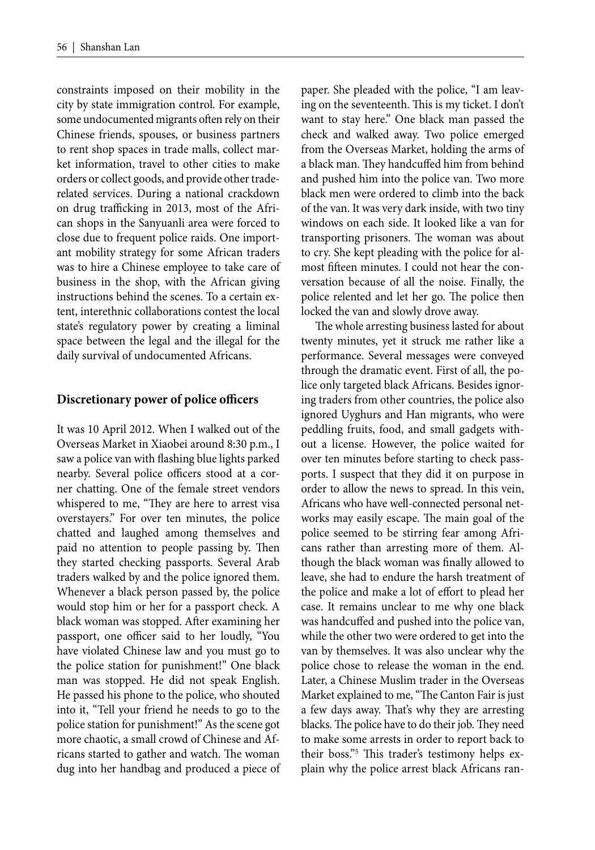constraints imposed on their mobility in the city by state immigration control. For example, some undocumented migrants often rely on their Chinese friends, spouses, or business partners to rent shop spaces in trade malls, collect market information, travel to other cities to make orders or collect goods, and provide other traderelated services. During a national crackdown on drug trafficking in 2013, most of the African shops in the Sanyuanli area were forced to close due to frequent police raids. One important mobility strategy for some African traders was to hire a Chinese employee to take care of business in the shop, with the African giving instructions behind the scenes. To a certain extent, interethnic collaborations contest the local state's regulatory power by creating a liminal space between the legal and the illegal for the daily survival of undocumented Africans.

#### **Discretionary power of police officers**

It was 10 April 2012. When I walked out of the Overseas Market in Xiaobei around 8:30 p.m., I saw a police van with flashing blue lights parked nearby. Several police officers stood at a corner chatting. One of the female street vendors whispered to me, "They are here to arrest visa overstayers." For over ten minutes, the police chatted and laughed among themselves and paid no attention to people passing by. Then they started checking passports. Several Arab traders walked by and the police ignored them. Whenever a black person passed by, the police would stop him or her for a passport check. A black woman was stopped. After examining her passport, one officer said to her loudly, "You have violated Chinese law and you must go to the police station for punishment!" One black man was stopped. He did not speak English. He passed his phone to the police, who shouted into it, "Tell your friend he needs to go to the police station for punishment!" As the scene got more chaotic, a small crowd of Chinese and Africans started to gather and watch. The woman dug into her handbag and produced a piece of paper. She pleaded with the police, "I am leaving on the seventeenth. This is my ticket. I don't want to stay here." One black man passed the check and walked away. Two police emerged from the Overseas Market, holding the arms of a black man. They handcuffed him from behind and pushed him into the police van. Two more black men were ordered to climb into the back of the van. It was very dark inside, with two tiny windows on each side. It looked like a van for transporting prisoners. The woman was about to cry. She kept pleading with the police for almost fifteen minutes. I could not hear the conversation because of all the noise. Finally, the police relented and let her go. The police then locked the van and slowly drove away.

The whole arresting business lasted for about twenty minutes, yet it struck me rather like a performance. Several messages were conveyed through the dramatic event. First of all, the police only targeted black Africans. Besides ignoring traders from other countries, the police also ignored Uyghurs and Han migrants, who were peddling fruits, food, and small gadgets without a license. However, the police waited for over ten minutes before starting to check passports. I suspect that they did it on purpose in order to allow the news to spread. In this vein, Africans who have well-connected personal networks may easily escape. The main goal of the police seemed to be stirring fear among Africans rather than arresting more of them. Although the black woman was finally allowed to leave, she had to endure the harsh treatment of the police and make a lot of effort to plead her case. It remains unclear to me why one black was handcuffed and pushed into the police van, while the other two were ordered to get into the van by themselves. It was also unclear why the police chose to release the woman in the end. Later, a Chinese Muslim trader in the Overseas Market explained to me, "The Canton Fair is just a few days away. That's why they are arresting blacks. The police have to do their job. They need to make some arrests in order to report back to their boss."<sup>5</sup> This trader's testimony helps explain why the police arrest black Africans ran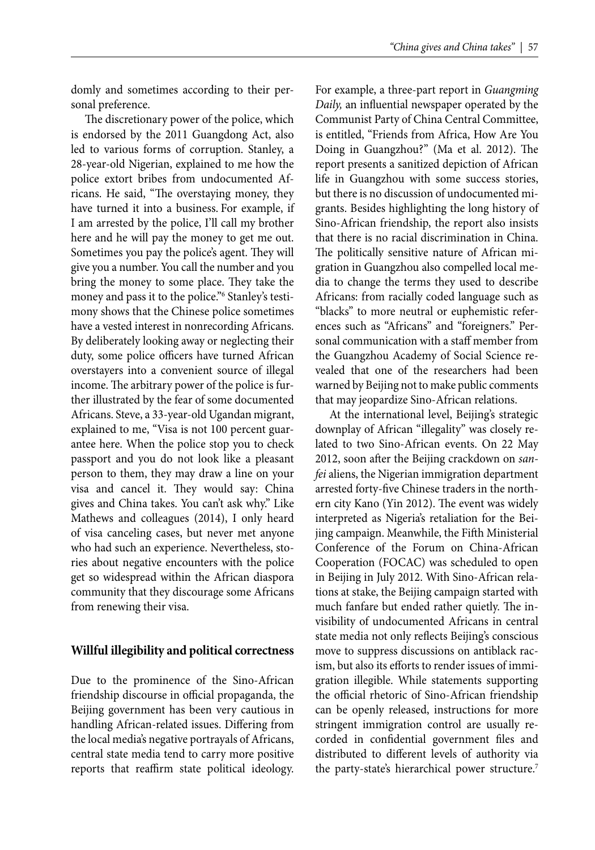domly and sometimes according to their personal preference.

The discretionary power of the police, which is endorsed by the 2011 Guangdong Act, also led to various forms of corruption. Stanley, a 28-year-old Nigerian, explained to me how the police extort bribes from undocumented Africans. He said, "The overstaying money, they have turned it into a business. For example, if I am arrested by the police, I'll call my brother here and he will pay the money to get me out. Sometimes you pay the police's agent. They will give you a number. You call the number and you bring the money to some place. They take the money and pass it to the police."6 Stanley's testimony shows that the Chinese police sometimes have a vested interest in nonrecording Africans. By deliberately looking away or neglecting their duty, some police officers have turned African overstayers into a convenient source of illegal income. The arbitrary power of the police is further illustrated by the fear of some documented Africans. Steve, a 33-year-old Ugandan migrant, explained to me, "Visa is not 100 percent guarantee here. When the police stop you to check passport and you do not look like a pleasant person to them, they may draw a line on your visa and cancel it. They would say: China gives and China takes. You can't ask why." Like Mathews and colleagues (2014), I only heard of visa canceling cases, but never met anyone who had such an experience. Nevertheless, stories about negative encounters with the police get so widespread within the African diaspora community that they discourage some Africans from renewing their visa.

#### **Willful illegibility and political correctness**

Due to the prominence of the Sino-African friendship discourse in official propaganda, the Beijing government has been very cautious in handling African-related issues. Differing from the local media's negative portrayals of Africans, central state media tend to carry more positive reports that reaffirm state political ideology.

For example, a three-part report in *Guangming Daily*, an influential newspaper operated by the Communist Party of China Central Committee, is entitled, "Friends from Africa, How Are You Doing in Guangzhou?" (Ma et al. 2012). The report presents a sanitized depiction of African life in Guangzhou with some success stories, but there is no discussion of undocumented migrants. Besides highlighting the long history of Sino-African friendship, the report also insists that there is no racial discrimination in China. The politically sensitive nature of African migration in Guangzhou also compelled local media to change the terms they used to describe Africans: from racially coded language such as "blacks" to more neutral or euphemistic references such as "Africans" and "foreigners." Personal communication with a staff member from the Guangzhou Academy of Social Science revealed that one of the researchers had been warned by Beijing not to make public comments that may jeopardize Sino-African relations.

At the international level, Beijing's strategic downplay of African "illegality" was closely related to two Sino-African events. On 22 May 2012, soon after the Beijing crackdown on *sanfei* aliens, the Nigerian immigration department arrested forty-five Chinese traders in the northern city Kano (Yin 2012). The event was widely interpreted as Nigeria's retaliation for the Beijing campaign. Meanwhile, the Fifth Ministerial Conference of the Forum on China-African Cooperation (FOCAC) was scheduled to open in Beijing in July 2012. With Sino-African relations at stake, the Beijing campaign started with much fanfare but ended rather quietly. The invisibility of undocumented Africans in central state media not only reflects Beijing's conscious move to suppress discussions on antiblack racism, but also its efforts to render issues of immigration illegible. While statements supporting the official rhetoric of Sino-African friendship can be openly released, instructions for more stringent immigration control are usually recorded in confidential government files and distributed to different levels of authority via the party-state's hierarchical power structure.<sup>7</sup>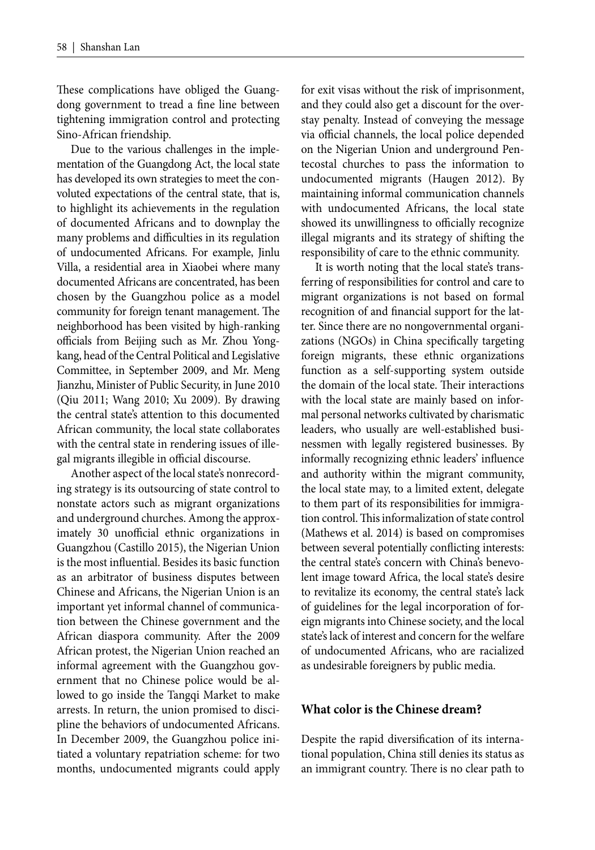These complications have obliged the Guangdong government to tread a fine line between tightening immigration control and protecting Sino-African friendship.

Due to the various challenges in the implementation of the Guangdong Act, the local state has developed its own strategies to meet the convoluted expectations of the central state, that is, to highlight its achievements in the regulation of documented Africans and to downplay the many problems and difficulties in its regulation of undocumented Africans. For example, Jinlu Villa, a residential area in Xiaobei where many documented Africans are concentrated, has been chosen by the Guangzhou police as a model community for foreign tenant management. The neighborhood has been visited by high-ranking officials from Beijing such as Mr. Zhou Yongkang, head of the Central Political and Legislative Committee, in September 2009, and Mr. Meng Jianzhu, Minister of Public Security, in June 2010 (Qiu 2011; Wang 2010; Xu 2009). By drawing the central state's attention to this documented African community, the local state collaborates with the central state in rendering issues of illegal migrants illegible in official discourse.

Another aspect of the local state's nonrecording strategy is its outsourcing of state control to nonstate actors such as migrant organizations and underground churches. Among the approximately 30 unofficial ethnic organizations in Guangzhou (Castillo 2015), the Nigerian Union is the most influential. Besides its basic function as an arbitrator of business disputes between Chinese and Africans, the Nigerian Union is an important yet informal channel of communication between the Chinese government and the African diaspora community. After the 2009 African protest, the Nigerian Union reached an informal agreement with the Guangzhou government that no Chinese police would be allowed to go inside the Tangqi Market to make arrests. In return, the union promised to discipline the behaviors of undocumented Africans. In December 2009, the Guangzhou police initiated a voluntary repatriation scheme: for two months, undocumented migrants could apply for exit visas without the risk of imprisonment, and they could also get a discount for the overstay penalty. Instead of conveying the message via official channels, the local police depended on the Nigerian Union and underground Pentecostal churches to pass the information to undocumented migrants (Haugen 2012). By maintaining informal communication channels with undocumented Africans, the local state showed its unwillingness to officially recognize illegal migrants and its strategy of shifting the responsibility of care to the ethnic community.

It is worth noting that the local state's transferring of responsibilities for control and care to migrant organizations is not based on formal recognition of and financial support for the latter. Since there are no nongovernmental organizations (NGOs) in China specifically targeting foreign migrants, these ethnic organizations function as a self-supporting system outside the domain of the local state. Their interactions with the local state are mainly based on informal personal networks cultivated by charismatic leaders, who usually are well-established businessmen with legally registered businesses. By informally recognizing ethnic leaders' influence and authority within the migrant community, the local state may, to a limited extent, delegate to them part of its responsibilities for immigration control. This informalization of state control (Mathews et al. 2014) is based on compromises between several potentially conflicting interests: the central state's concern with China's benevolent image toward Africa, the local state's desire to revitalize its economy, the central state's lack of guidelines for the legal incorporation of foreign migrants into Chinese society, and the local state's lack of interest and concern for the welfare of undocumented Africans, who are racialized as undesirable foreigners by public media.

#### **What color is the Chinese dream?**

Despite the rapid diversification of its international population, China still denies its status as an immigrant country. There is no clear path to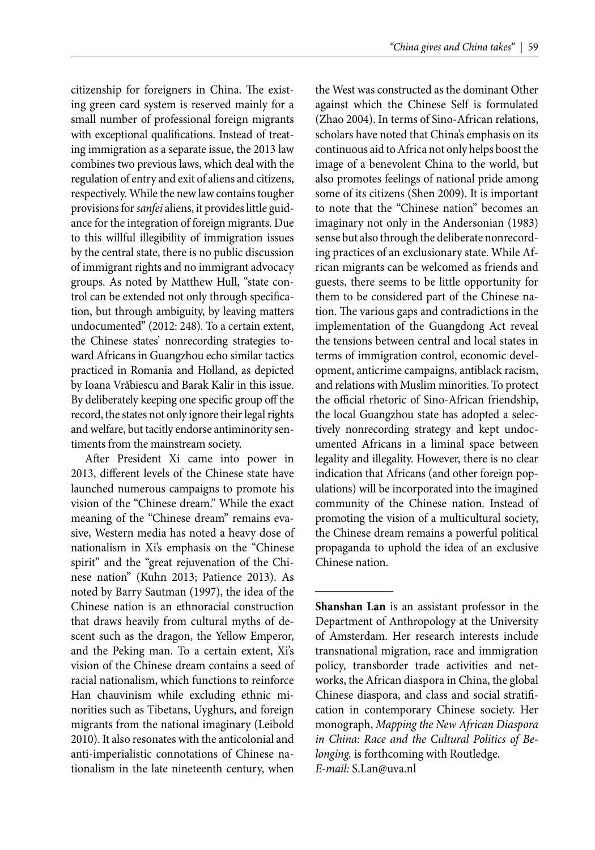citizenship for foreigners in China. The existing green card system is reserved mainly for a small number of professional foreign migrants with exceptional qualifications. Instead of treating immigration as a separate issue, the 2013 law combines two previous laws, which deal with the regulation of entry and exit of aliens and citizens, respectively. While the new law contains tougher provisions for *sanfei* aliens, it provides little guidance for the integration of foreign migrants. Due to this willful illegibility of immigration issues by the central state, there is no public discussion of immigrant rights and no immigrant advocacy groups. As noted by Matthew Hull, "state control can be extended not only through specification, but through ambiguity, by leaving matters undocumented" (2012: 248). To a certain extent, the Chinese states' nonrecording strategies toward Africans in Guangzhou echo similar tactics practiced in Romania and Holland, as depicted by Ioana Vrăbiescu and Barak Kalir in this issue. By deliberately keeping one specific group off the record, the states not only ignore their legal rights and welfare, but tacitly endorse antiminority sentiments from the mainstream society.

After President Xi came into power in 2013, different levels of the Chinese state have launched numerous campaigns to promote his vision of the "Chinese dream." While the exact meaning of the "Chinese dream" remains evasive, Western media has noted a heavy dose of nationalism in Xi's emphasis on the "Chinese spirit" and the "great rejuvenation of the Chinese nation" (Kuhn 2013; Patience 2013). As noted by Barry Sautman (1997), the idea of the Chinese nation is an ethnoracial construction that draws heavily from cultural myths of descent such as the dragon, the Yellow Emperor, and the Peking man. To a certain extent, Xi's vision of the Chinese dream contains a seed of racial nationalism, which functions to reinforce Han chauvinism while excluding ethnic minorities such as Tibetans, Uyghurs, and foreign migrants from the national imaginary (Leibold 2010). It also resonates with the anticolonial and anti-imperialistic connotations of Chinese nationalism in the late nineteenth century, when

the West was constructed as the dominant Other against which the Chinese Self is formulated (Zhao 2004). In terms of Sino-African relations, scholars have noted that China's emphasis on its continuous aid to Africa not only helps boost the image of a benevolent China to the world, but also promotes feelings of national pride among some of its citizens (Shen 2009). It is important to note that the "Chinese nation" becomes an imaginary not only in the Andersonian (1983) sense but also through the deliberate nonrecording practices of an exclusionary state. While African migrants can be welcomed as friends and guests, there seems to be little opportunity for them to be considered part of the Chinese nation. The various gaps and contradictions in the implementation of the Guangdong Act reveal the tensions between central and local states in terms of immigration control, economic development, anticrime campaigns, antiblack racism, and relations with Muslim minorities. To protect the official rhetoric of Sino-African friendship, the local Guangzhou state has adopted a selectively nonrecording strategy and kept undocumented Africans in a liminal space between legality and illegality. However, there is no clear indication that Africans (and other foreign populations) will be incorporated into the imagined community of the Chinese nation. Instead of promoting the vision of a multicultural society, the Chinese dream remains a powerful political propaganda to uphold the idea of an exclusive Chinese nation.

**Shanshan Lan** is an assistant professor in the Department of Anthropology at the University of Amsterdam. Her research interests include transnational migration, race and immigration policy, transborder trade activities and networks, the African diaspora in China, the global Chinese diaspora, and class and social stratifi cation in contemporary Chinese society. Her monograph, *Mapping the New African Diaspora in China: Race and the Cultural Politics of Belonging,* is forthcoming with Routledge. *E-mail:* S.Lan@uva.nl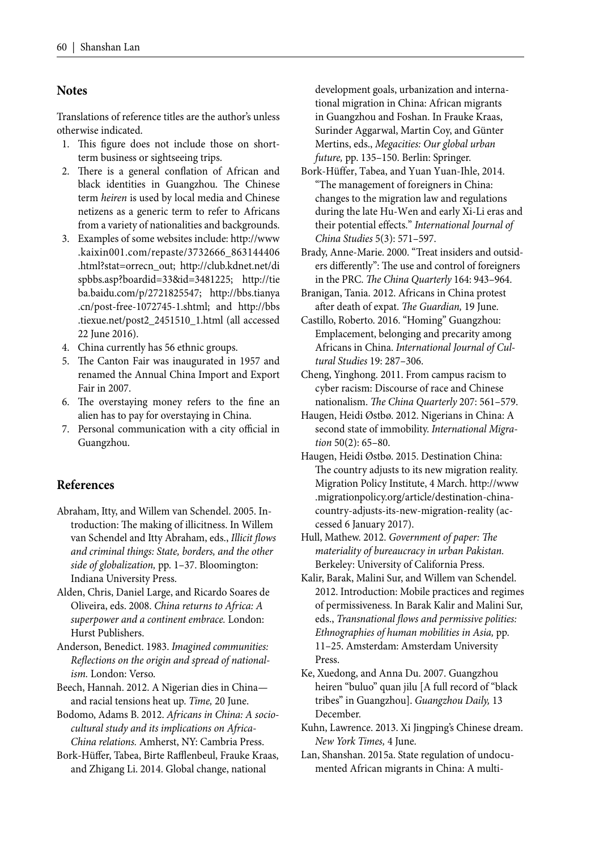#### **Notes**

Translations of reference titles are the author's unless otherwise indicated.

- 1. This figure does not include those on shortterm business or sightseeing trips.
- 2. There is a general conflation of African and black identities in Guangzhou. The Chinese term *heiren* is used by local media and Chinese netizens as a generic term to refer to Africans from a variety of nationalities and backgrounds.
- 3. Examples of some websites include: http://www .kaixin001.com/repaste/3732666\_863144406 .html?stat=orrecn\_out; http://club.kdnet.net/di spbbs.asp?boardid=33&id=3481225; http://tie ba.baidu.com/p/2721825547; http://bbs.tianya .cn/post-free-1072745-1.shtml; and http://bbs .tiexue.net/post2\_2451510\_1.html (all accessed 22 June 2016).
- 4. China currently has 56 ethnic groups.
- 5. The Canton Fair was inaugurated in 1957 and renamed the Annual China Import and Export Fair in 2007.
- 6. The overstaying money refers to the fine an alien has to pay for overstaying in China.
- 7. Personal communication with a city official in Guangzhou.

#### **References**

- Abraham, Itty, and Willem van Schendel. 2005. Introduction: The making of illicitness. In Willem van Schendel and Itty Abraham, eds., *Illicit flows and criminal things: State, borders, and the other side of globalization,* pp. 1–37. Bloomington: Indiana University Press.
- Alden, Chris, Daniel Large, and Ricardo Soares de Oliveira, eds. 2008. *China returns to Africa: A superpower and a continent embrace.* London: Hurst Publishers.
- Anderson, Benedict. 1983. *Imagined communities:*  Reflections on the origin and spread of national*ism.* London: Verso.
- Beech, Hannah. 2012. A Nigerian dies in China and racial tensions heat up. *Time,* 20 June.
- Bodomo, Adams B. 2012. *Africans in China: A sociocultural study and its implications on Africa-China relations.* Amherst, NY: Cambria Press.
- Bork-Hüffer, Tabea, Birte Rafflenbeul, Frauke Kraas, and Zhigang Li. 2014. Global change, national

development goals, urbanization and international migration in China: African migrants in Guangzhou and Foshan. In Frauke Kraas, Surinder Aggarwal, Martin Coy, and Günter Mertins, eds., *Megacities: Our global urban future,* pp. 135–150. Berlin: Springer.

- Bork-Hüffer, Tabea, and Yuan Yuan-Ihle, 2014. "The management of foreigners in China: changes to the migration law and regulations during the late Hu-Wen and early Xi-Li eras and their potential effects." *International Journal of China Studies* 5(3): 571–597.
- Brady, Anne-Marie. 2000. "Treat insiders and outsiders differently": The use and control of foreigners in the PRC. *The China Quarterly* 164: 943-964.
- Branigan, Tania. 2012. Africans in China protest after death of expat. The Guardian, 19 June.
- Castillo, Roberto. 2016. "Homing" Guangzhou: Emplacement, belonging and precarity among Africans in China. *International Journal of Cultural Studies* 19: 287–306.
- Cheng, Yinghong. 2011. From campus racism to cyber racism: Discourse of race and Chinese nationalism. *The China Quarterly* 207: 561-579.
- Haugen, Heidi Østbø. 2012. Nigerians in China: A second state of immobility. *International Migration* 50(2): 65–80.
- Haugen, Heidi Østbø. 2015. Destination China: The country adjusts to its new migration reality. Migration Policy Institute, 4 March. http://www .migrationpolicy.org/article/destination-chinacountry-adjusts-its-new-migration-reality (accessed 6 January 2017).
- Hull, Mathew. 2012. Government of paper: The *materiality of bureaucracy in urban Pakistan.* Berkeley: University of California Press.
- Kalir, Barak, Malini Sur, and Willem van Schendel. 2012. Introduction: Mobile practices and regimes of permissiveness. In Barak Kalir and Malini Sur, eds., *Transnational flows and permissive polities: Ethnographies of human mobilities in Asia,* pp. 11–25. Amsterdam: Amsterdam University Press.
- Ke, Xuedong, and Anna Du. 2007. Guangzhou heiren "buluo" quan jilu [A full record of "black tribes" in Guangzhou]. *Guangzhou Daily,* 13 December.
- Kuhn, Lawrence. 2013. Xi Jingping's Chinese dream. *New York Times,* 4 June.
- Lan, Shanshan. 2015a. State regulation of undocumented African migrants in China: A multi-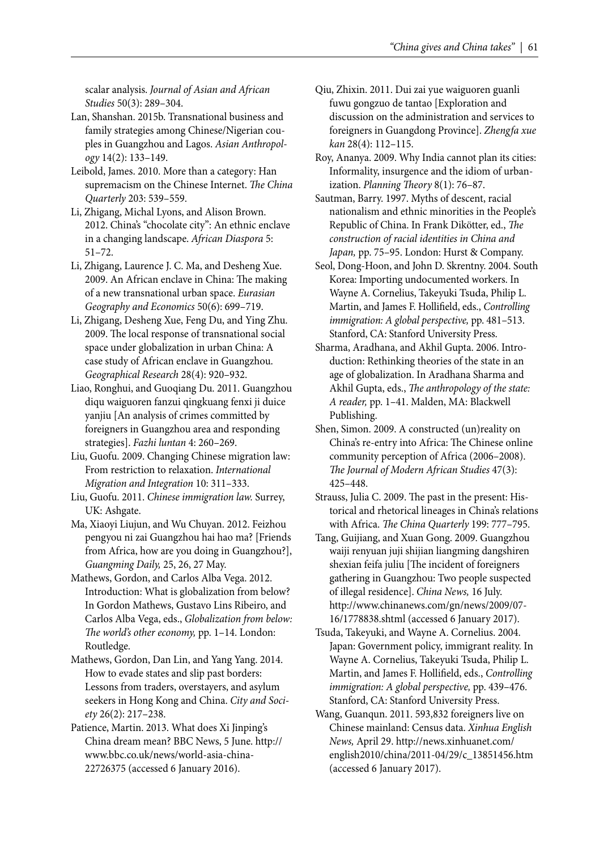scalar analysis. *Journal of Asian and African Studies* 50(3): 289–304.

- Lan, Shanshan. 2015b. Transnational business and family strategies among Chinese/Nigerian couples in Guangzhou and Lagos. *Asian Anthropology* 14(2): 133–149.
- Leibold, James. 2010. More than a category: Han supremacism on the Chinese Internet. *The China Quarterly* 203: 539–559.
- Li, Zhigang, Michal Lyons, and Alison Brown. 2012. China's "chocolate city": An ethnic enclave in a changing landscape. *African Diaspora* 5: 51–72.
- Li, Zhigang, Laurence J. C. Ma, and Desheng Xue. 2009. An African enclave in China: The making of a new transnational urban space. *Eurasian Geography and Economics* 50(6): 699–719.
- Li, Zhigang, Desheng Xue, Feng Du, and Ying Zhu. 2009. The local response of transnational social space under globalization in urban China: A case study of African enclave in Guangzhou. *Geographical Research* 28(4): 920–932.
- Liao, Ronghui, and Guoqiang Du. 2011. Guangzhou diqu waiguoren fanzui qingkuang fenxi ji duice yanjiu [An analysis of crimes committed by foreigners in Guangzhou area and responding strategies]. *Fazhi luntan* 4: 260–269.
- Liu, Guofu. 2009. Changing Chinese migration law: From restriction to relaxation. *International Migration and Integration* 10: 311–333.
- Liu, Guofu. 2011. *Chinese immigration law.* Surrey, UK: Ashgate.
- Ma, Xiaoyi Liujun, and Wu Chuyan. 2012. Feizhou pengyou ni zai Guangzhou hai hao ma? [Friends from Africa, how are you doing in Guangzhou?], *Guangming Daily,* 25, 26, 27 May.
- Mathews, Gordon, and Carlos Alba Vega. 2012. Introduction: What is globalization from below? In Gordon Mathews, Gustavo Lins Ribeiro, and Carlos Alba Vega, eds., *Globalization from below:*  The world's other economy, pp. 1-14. London: Routledge.
- Mathews, Gordon, Dan Lin, and Yang Yang. 2014. How to evade states and slip past borders: Lessons from traders, overstayers, and asylum seekers in Hong Kong and China. *City and Society* 26(2): 217–238.
- Patience, Martin. 2013. What does Xi Jinping's China dream mean? BBC News, 5 June. http:// www.bbc.co.uk/news/world-asia-china-22726375 (accessed 6 January 2016).
- Qiu, Zhixin. 2011. Dui zai yue waiguoren guanli fuwu gongzuo de tantao [Exploration and discussion on the administration and services to foreigners in Guangdong Province]. *Zhengfa xue kan* 28(4): 112–115.
- Roy, Ananya. 2009. Why India cannot plan its cities: Informality, insurgence and the idiom of urbanization. *Planning Theory* 8(1): 76-87.
- Sautman, Barry. 1997. Myths of descent, racial nationalism and ethnic minorities in the People's Republic of China. In Frank Dikötter, ed., *The construction of racial identities in China and Japan,* pp. 75–95. London: Hurst & Company.
- Seol, Dong-Hoon, and John D. Skrentny. 2004. South Korea: Importing undocumented workers. In Wayne A. Cornelius, Takeyuki Tsuda, Philip L. Martin, and James F. Hollifield, eds., *Controlling immigration: A global perspective,* pp. 481–513. Stanford, CA: Stanford University Press.
- Sharma, Aradhana, and Akhil Gupta. 2006. Introduction: Rethinking theories of the state in an age of globalization. In Aradhana Sharma and Akhil Gupta, eds., *The anthropology of the state: A reader,* pp. 1–41. Malden, MA: Blackwell Publishing.
- Shen, Simon. 2009. A constructed (un)reality on China's re-entry into Africa: The Chinese online community perception of Africa (2006–2008). *Th e Journal of Modern African Studies* 47(3): 425–448.
- Strauss, Julia C. 2009. The past in the present: Historical and rhetorical lineages in China's relations with Africa. *The China Quarterly* 199: 777-795.
- Tang, Guijiang, and Xuan Gong. 2009. Guangzhou waiji renyuan juji shijian liangming dangshiren shexian feifa juliu [The incident of foreigners gathering in Guangzhou: Two people suspected of illegal residence]. *China News,* 16 July. http://www.chinanews.com/gn/news/2009/07- 16/1778838.shtml (accessed 6 January 2017).
- Tsuda, Takeyuki, and Wayne A. Cornelius. 2004. Japan: Government policy, immigrant reality. In Wayne A. Cornelius, Takeyuki Tsuda, Philip L. Martin, and James F. Hollifield, eds., *Controlling immigration: A global perspective,* pp. 439–476. Stanford, CA: Stanford University Press.
- Wang, Guanqun. 2011. 593,832 foreigners live on Chinese mainland: Census data. *Xinhua English News,* April 29. http://news.xinhuanet.com/ english2010/china/2011-04/29/c\_13851456.htm (accessed 6 January 2017).